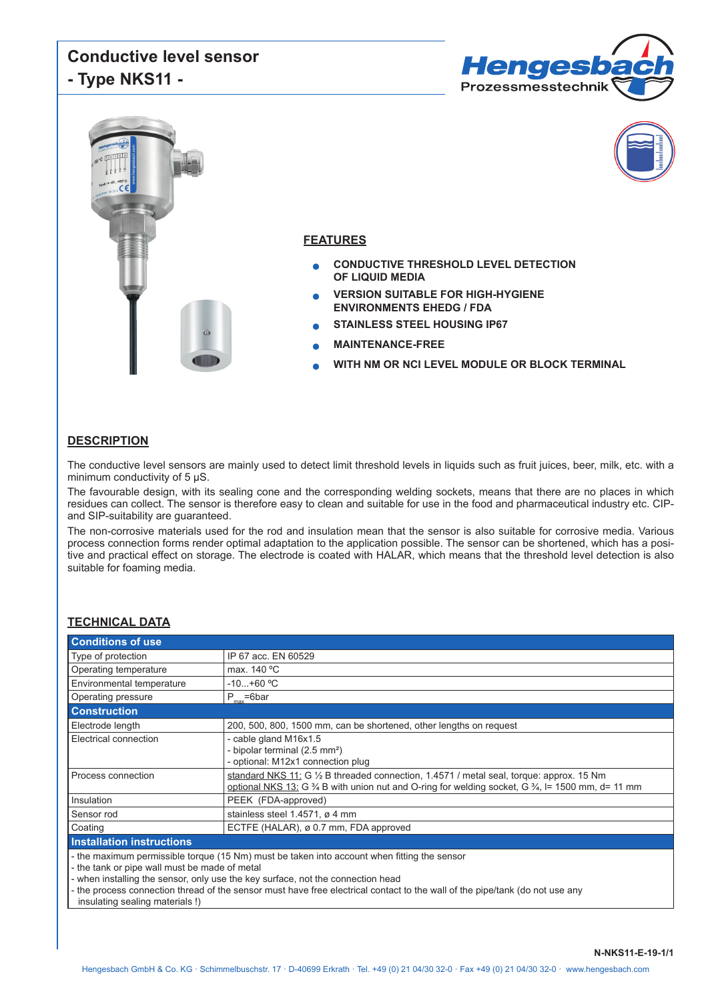## **Conductive level sensor - Type NKS11 -**





### **FEATURES**

- **CONDUCTIVE THRESHOLD LEVEL DETECTION OF LIQUID MEDIA**
- **VERSION SUITABLE FOR HIGH-HYGIENE ENVIRONMENTS EHEDG / FDA**
- **STAINLESS STEEL HOUSING IP67**
- **MAINTENANCE-FREE**
- WITH NM OR NCI LEVEL MODULE OR BLOCK TERMINAL

### **DESCRIPTION**

The conductive level sensors are mainly used to detect limit threshold levels in liquids such as fruit juices, beer, milk, etc. with a minimum conductivity of 5 µS.

The favourable design, with its sealing cone and the corresponding welding sockets, means that there are no places in which residues can collect. The sensor is therefore easy to clean and suitable for use in the food and pharmaceutical industry etc. CIPand SIP-suitability are guaranteed.

The non-corrosive materials used for the rod and insulation mean that the sensor is also suitable for corrosive media. Various process connection forms render optimal adaptation to the application possible. The sensor can be shortened, which has a positive and practical effect on storage. The electrode is coated with HALAR, which means that the threshold level detection is also suitable for foaming media.

## **TECHNICAL DATA**

| <b>Conditions of use</b>                                                                                                                                                                                       |                                                                                                                                                                                                                               |  |  |  |  |  |
|----------------------------------------------------------------------------------------------------------------------------------------------------------------------------------------------------------------|-------------------------------------------------------------------------------------------------------------------------------------------------------------------------------------------------------------------------------|--|--|--|--|--|
| Type of protection                                                                                                                                                                                             | IP 67 acc. EN 60529                                                                                                                                                                                                           |  |  |  |  |  |
| Operating temperature                                                                                                                                                                                          | max. 140 °C                                                                                                                                                                                                                   |  |  |  |  |  |
| Environmental temperature                                                                                                                                                                                      | $-10+60$ °C                                                                                                                                                                                                                   |  |  |  |  |  |
| Operating pressure                                                                                                                                                                                             | $P_{max}$ =6bar                                                                                                                                                                                                               |  |  |  |  |  |
| <b>Construction</b>                                                                                                                                                                                            |                                                                                                                                                                                                                               |  |  |  |  |  |
| Electrode length                                                                                                                                                                                               | 200, 500, 800, 1500 mm, can be shortened, other lengths on request                                                                                                                                                            |  |  |  |  |  |
| Electrical connection                                                                                                                                                                                          | - cable gland M16x1.5<br>- bipolar terminal (2.5 mm <sup>2</sup> )<br>- optional: M12x1 connection plug                                                                                                                       |  |  |  |  |  |
| Process connection                                                                                                                                                                                             | standard NKS 11: G $\frac{1}{2}$ B threaded connection, 1.4571 / metal seal, torque: approx. 15 Nm<br>optional NKS 13: G $\frac{3}{4}$ B with union nut and O-ring for welding socket, G $\frac{3}{4}$ , I= 1500 mm, d= 11 mm |  |  |  |  |  |
| Insulation                                                                                                                                                                                                     | PEEK (FDA-approved)                                                                                                                                                                                                           |  |  |  |  |  |
| Sensor rod                                                                                                                                                                                                     | stainless steel 1.4571, ø 4 mm                                                                                                                                                                                                |  |  |  |  |  |
| Coating                                                                                                                                                                                                        | ECTFE (HALAR), ø 0.7 mm, FDA approved                                                                                                                                                                                         |  |  |  |  |  |
| <b>Installation instructions</b>                                                                                                                                                                               |                                                                                                                                                                                                                               |  |  |  |  |  |
| - the maximum permissible torque (15 Nm) must be taken into account when fitting the sensor<br>the context of a context of context to a context of a context. The context of the context of the context of the |                                                                                                                                                                                                                               |  |  |  |  |  |

- the tank or pipe wall must be made of metal

- when installing the sensor, only use the key surface, not the connection head

- the process connection thread of the sensor must have free electrical contact to the wall of the pipe/tank (do not use any

insulating sealing materials !)